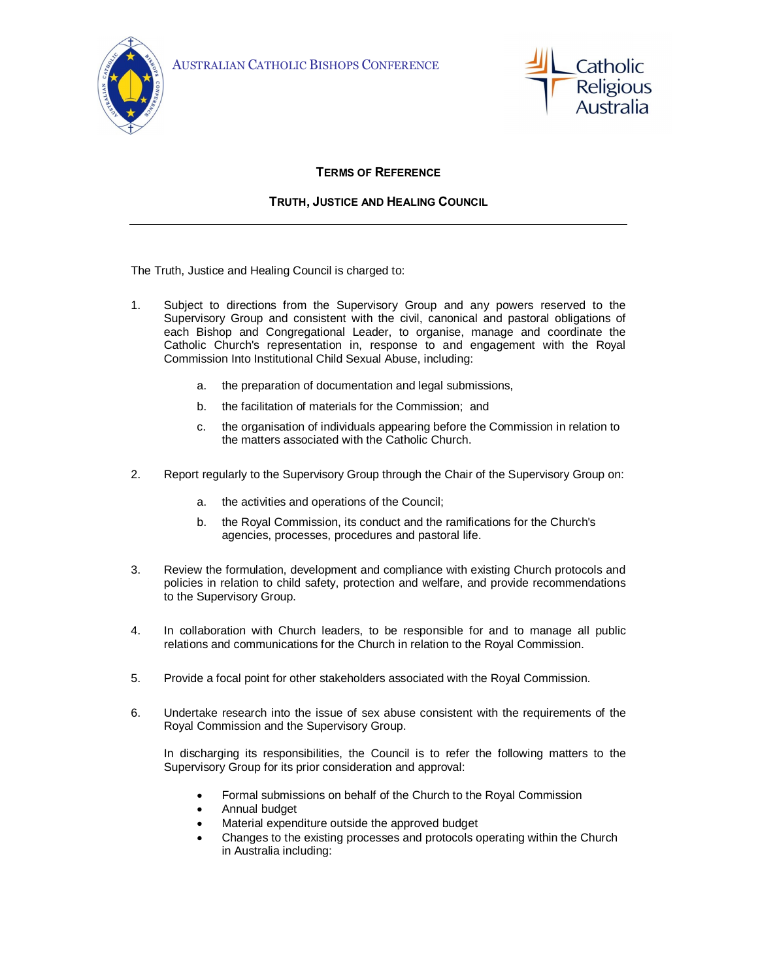



## **TERMS OF REFERENCE**

## **TRUTH, JUSTICE AND HEALING COUNCIL**

The Truth, Justice and Healing Council is charged to:

- 1. Subject to directions from the Supervisory Group and any powers reserved to the Supervisory Group and consistent with the civil, canonical and pastoral obligations of each Bishop and Congregational Leader, to organise, manage and coordinate the Catholic Church's representation in, response to and engagement with the Royal Commission Into Institutional Child Sexual Abuse, including:
	- a. the preparation of documentation and legal submissions,
	- b. the facilitation of materials for the Commission; and
	- c. the organisation of individuals appearing before the Commission in relation to the matters associated with the Catholic Church.
- 2. Report regularly to the Supervisory Group through the Chair of the Supervisory Group on:
	- a. the activities and operations of the Council;
	- b. the Royal Commission, its conduct and the ramifications for the Church's agencies, processes, procedures and pastoral life.
- 3. Review the formulation, development and compliance with existing Church protocols and policies in relation to child safety, protection and welfare, and provide recommendations to the Supervisory Group.
- 4. In collaboration with Church leaders, to be responsible for and to manage all public relations and communications for the Church in relation to the Royal Commission.
- 5. Provide a focal point for other stakeholders associated with the Royal Commission.
- 6. Undertake research into the issue of sex abuse consistent with the requirements of the Royal Commission and the Supervisory Group.

In discharging its responsibilities, the Council is to refer the following matters to the Supervisory Group for its prior consideration and approval:

- Formal submissions on behalf of the Church to the Royal Commission
- · Annual budget
- Material expenditure outside the approved budget
- · Changes to the existing processes and protocols operating within the Church in Australia including: